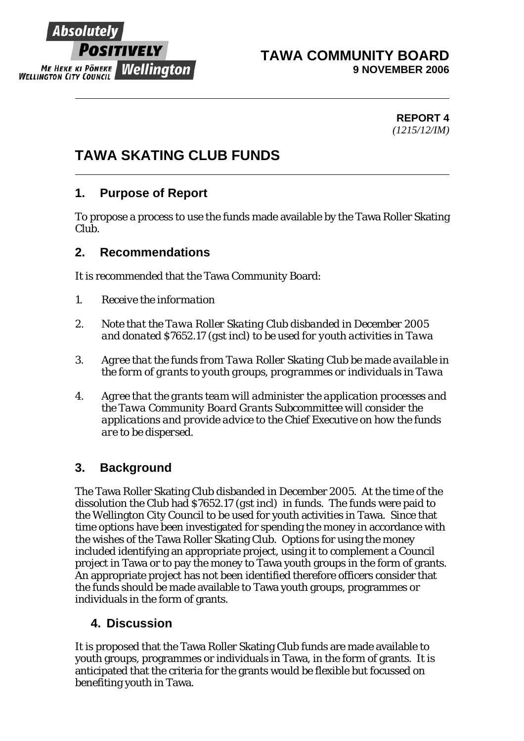

#### **TAWA COMMUNITY BOARD 9 NOVEMBER 2006**

**REPORT 4** *(1215/12/IM)* 

# **TAWA SKATING CLUB FUNDS**

## **1. Purpose of Report**

To propose a process to use the funds made available by the Tawa Roller Skating Clu**b**.

## **2. Recommendations**

It is recommended that the Tawa Community Board:

- *1. Receive the information*
- *2. Note that the Tawa Roller Skating Club disbanded in December 2005 and donated \$7652.17 (gst incl) to be used for youth activities in Tawa*
- *3. Agree that the funds from Tawa Roller Skating Club be made available in the form of grants to youth groups, programmes or individuals in Tawa*
- *4. Agree that the grants team will administer the application processes and the Tawa Community Board Grants Subcommittee will consider the applications and provide advice to the Chief Executive on how the funds are to be dispersed.*

## **3. Background**

The Tawa Roller Skating Club disbanded in December 2005. At the time of the dissolution the Club had *\$7652.17 (gst incl)* in funds. The funds were paid to the Wellington City Council to be used for youth activities in Tawa. Since that time options have been investigated for spending the money in accordance with the wishes of the Tawa Roller Skating Club. Options for using the money included identifying an appropriate project, using it to complement a Council project in Tawa or to pay the money to Tawa youth groups in the form of grants. An appropriate project has not been identified therefore officers consider that the funds should be made available to Tawa youth groups, programmes or individuals in the form of grants.

## **4. Discussion**

It is proposed that the Tawa Roller Skating Club funds are made available to youth groups, programmes or individuals in Tawa, in the form of grants. It is anticipated that the criteria for the grants would be flexible but focussed on benefiting youth in Tawa.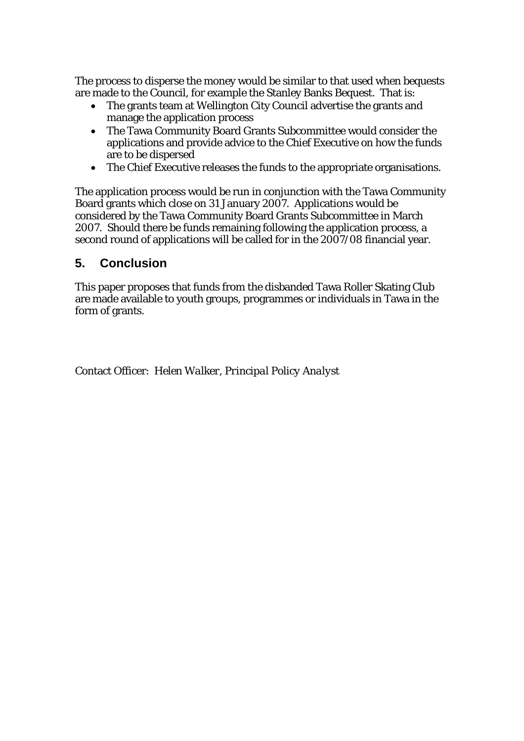The process to disperse the money would be similar to that used when bequests are made to the Council, for example the Stanley Banks Bequest. That is:

- The grants team at Wellington City Council advertise the grants and manage the application process
- The Tawa Community Board Grants Subcommittee would consider the applications and provide advice to the Chief Executive on how the funds are to be dispersed
- The Chief Executive releases the funds to the appropriate organisations.

The application process would be run in conjunction with the Tawa Community Board grants which close on 31 January 2007. Applications would be considered by the Tawa Community Board Grants Subcommittee in March 2007. Should there be funds remaining following the application process, a second round of applications will be called for in the 2007/08 financial year.

## **5. Conclusion**

This paper proposes that funds from the disbanded Tawa Roller Skating Club are made available to youth groups, programmes or individuals in Tawa in the form of grants.

Contact Officer: *Helen Walker, Principal Policy Analyst*